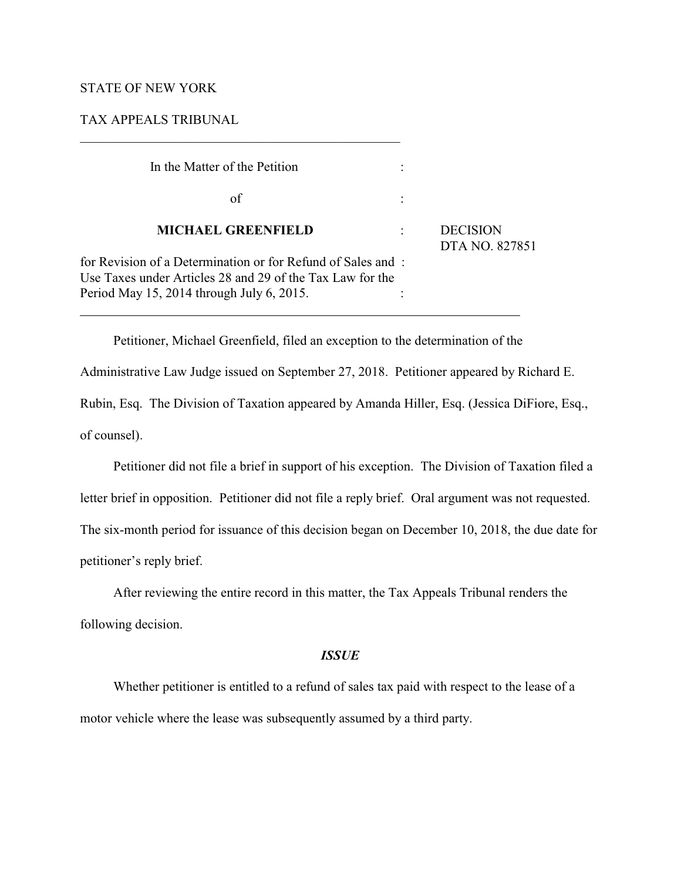# STATE OF NEW YORK

 $\overline{a}$ 

# TAX APPEALS TRIBUNAL

| In the Matter of the Petition                                                                                                                                         |                                   |
|-----------------------------------------------------------------------------------------------------------------------------------------------------------------------|-----------------------------------|
| of                                                                                                                                                                    |                                   |
| <b>MICHAEL GREENFIELD</b>                                                                                                                                             | <b>DECISION</b><br>DTA NO. 827851 |
| for Revision of a Determination or for Refund of Sales and:<br>Use Taxes under Articles 28 and 29 of the Tax Law for the<br>Period May 15, 2014 through July 6, 2015. |                                   |

Petitioner, Michael Greenfield, filed an exception to the determination of the

Administrative Law Judge issued on September 27, 2018. Petitioner appeared by Richard E.

Rubin, Esq. The Division of Taxation appeared by Amanda Hiller, Esq. (Jessica DiFiore, Esq., of counsel).

Petitioner did not file a brief in support of his exception. The Division of Taxation filed a letter brief in opposition. Petitioner did not file a reply brief. Oral argument was not requested. The six-month period for issuance of this decision began on December 10, 2018, the due date for petitioner's reply brief.

After reviewing the entire record in this matter, the Tax Appeals Tribunal renders the following decision.

# *ISSUE*

Whether petitioner is entitled to a refund of sales tax paid with respect to the lease of a motor vehicle where the lease was subsequently assumed by a third party.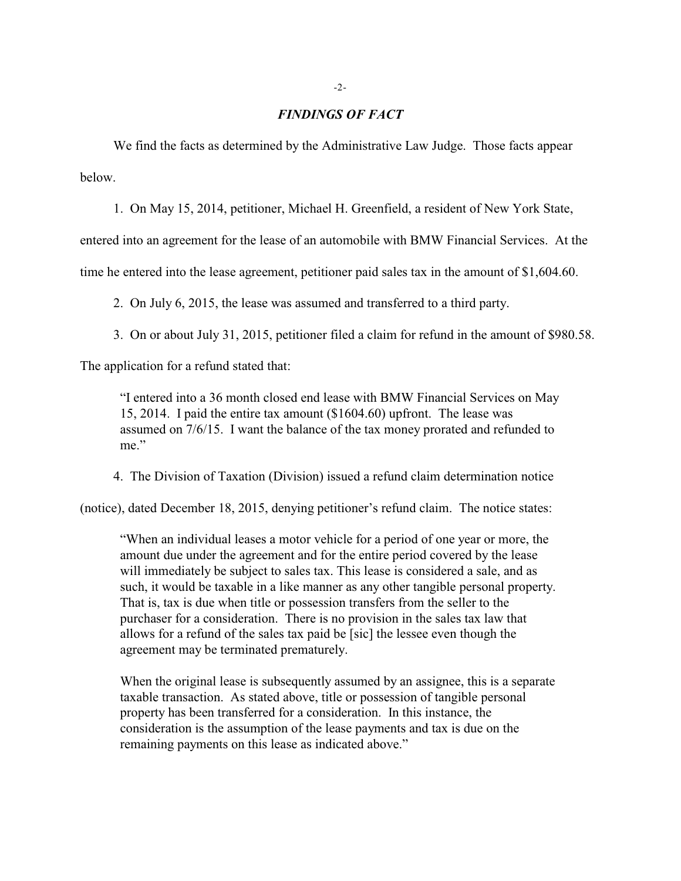## *FINDINGS OF FACT*

We find the facts as determined by the Administrative Law Judge. Those facts appear below.

1. On May 15, 2014, petitioner, Michael H. Greenfield, a resident of New York State,

entered into an agreement for the lease of an automobile with BMW Financial Services. At the

time he entered into the lease agreement, petitioner paid sales tax in the amount of \$1,604.60.

2. On July 6, 2015, the lease was assumed and transferred to a third party.

3. On or about July 31, 2015, petitioner filed a claim for refund in the amount of \$980.58.

The application for a refund stated that:

"I entered into a 36 month closed end lease with BMW Financial Services on May 15, 2014. I paid the entire tax amount (\$1604.60) upfront. The lease was assumed on 7/6/15. I want the balance of the tax money prorated and refunded to me."

4. The Division of Taxation (Division) issued a refund claim determination notice

(notice), dated December 18, 2015, denying petitioner's refund claim. The notice states:

"When an individual leases a motor vehicle for a period of one year or more, the amount due under the agreement and for the entire period covered by the lease will immediately be subject to sales tax. This lease is considered a sale, and as such, it would be taxable in a like manner as any other tangible personal property. That is, tax is due when title or possession transfers from the seller to the purchaser for a consideration. There is no provision in the sales tax law that allows for a refund of the sales tax paid be [sic] the lessee even though the agreement may be terminated prematurely.

When the original lease is subsequently assumed by an assignee, this is a separate taxable transaction. As stated above, title or possession of tangible personal property has been transferred for a consideration. In this instance, the consideration is the assumption of the lease payments and tax is due on the remaining payments on this lease as indicated above."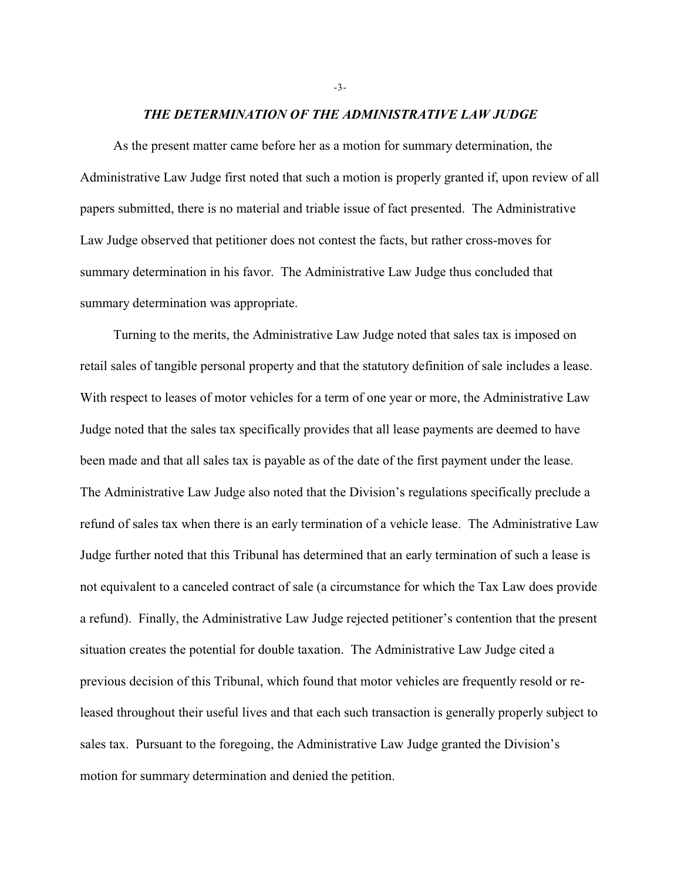#### *THE DETERMINATION OF THE ADMINISTRATIVE LAW JUDGE*

As the present matter came before her as a motion for summary determination, the Administrative Law Judge first noted that such a motion is properly granted if, upon review of all papers submitted, there is no material and triable issue of fact presented. The Administrative Law Judge observed that petitioner does not contest the facts, but rather cross-moves for summary determination in his favor. The Administrative Law Judge thus concluded that summary determination was appropriate.

Turning to the merits, the Administrative Law Judge noted that sales tax is imposed on retail sales of tangible personal property and that the statutory definition of sale includes a lease. With respect to leases of motor vehicles for a term of one year or more, the Administrative Law Judge noted that the sales tax specifically provides that all lease payments are deemed to have been made and that all sales tax is payable as of the date of the first payment under the lease. The Administrative Law Judge also noted that the Division's regulations specifically preclude a refund of sales tax when there is an early termination of a vehicle lease. The Administrative Law Judge further noted that this Tribunal has determined that an early termination of such a lease is not equivalent to a canceled contract of sale (a circumstance for which the Tax Law does provide a refund). Finally, the Administrative Law Judge rejected petitioner's contention that the present situation creates the potential for double taxation. The Administrative Law Judge cited a previous decision of this Tribunal, which found that motor vehicles are frequently resold or released throughout their useful lives and that each such transaction is generally properly subject to sales tax. Pursuant to the foregoing, the Administrative Law Judge granted the Division's motion for summary determination and denied the petition.

-3-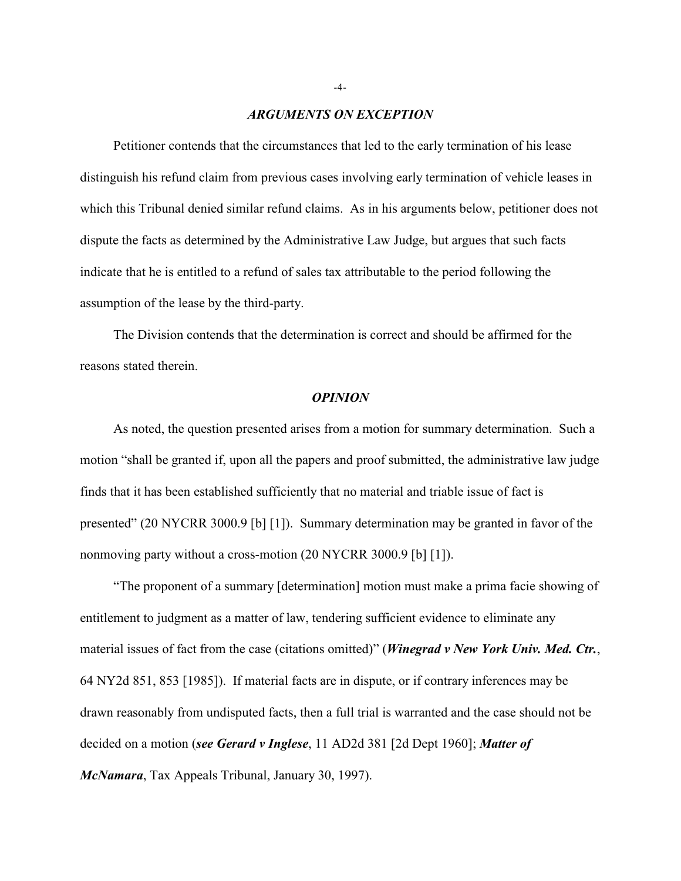### *ARGUMENTS ON EXCEPTION*

Petitioner contends that the circumstances that led to the early termination of his lease distinguish his refund claim from previous cases involving early termination of vehicle leases in which this Tribunal denied similar refund claims. As in his arguments below, petitioner does not dispute the facts as determined by the Administrative Law Judge, but argues that such facts indicate that he is entitled to a refund of sales tax attributable to the period following the assumption of the lease by the third-party.

The Division contends that the determination is correct and should be affirmed for the reasons stated therein.

## *OPINION*

As noted, the question presented arises from a motion for summary determination. Such a motion "shall be granted if, upon all the papers and proof submitted, the administrative law judge finds that it has been established sufficiently that no material and triable issue of fact is presented" (20 NYCRR 3000.9 [b] [1]). Summary determination may be granted in favor of the nonmoving party without a cross-motion (20 NYCRR 3000.9 [b] [1]).

"The proponent of a summary [determination] motion must make a prima facie showing of entitlement to judgment as a matter of law, tendering sufficient evidence to eliminate any material issues of fact from the case (citations omitted)" (*Winegrad v New York Univ. Med. Ctr.*, 64 NY2d 851, 853 [1985]). If material facts are in dispute, or if contrary inferences may be drawn reasonably from undisputed facts, then a full trial is warranted and the case should not be decided on a motion (*see Gerard v Inglese*, 11 AD2d 381 [2d Dept 1960]; *Matter of McNamara*, Tax Appeals Tribunal, January 30, 1997).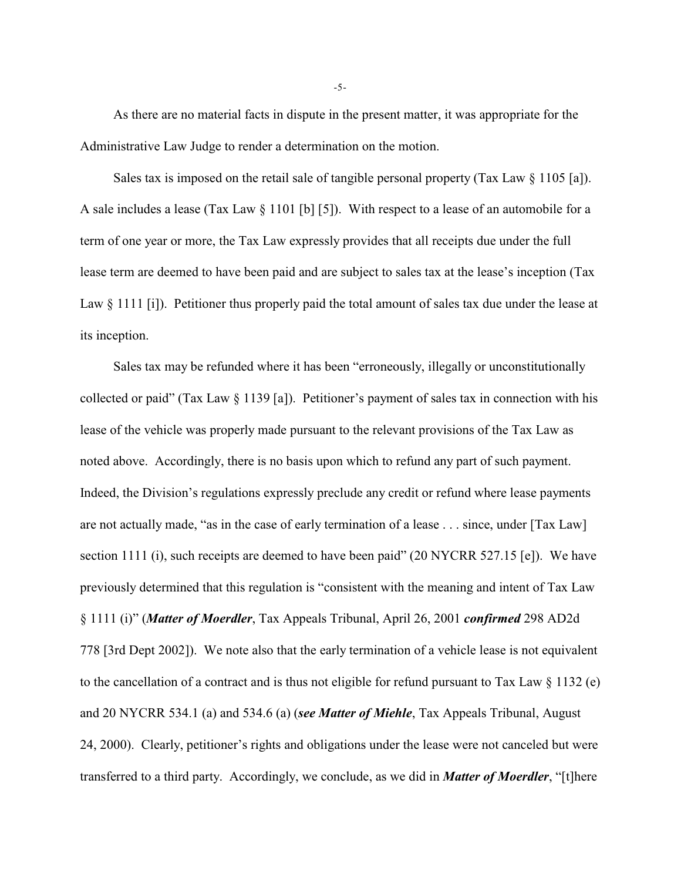As there are no material facts in dispute in the present matter, it was appropriate for the Administrative Law Judge to render a determination on the motion.

Sales tax is imposed on the retail sale of tangible personal property (Tax Law § 1105 [a]). A sale includes a lease (Tax Law § 1101 [b] [5]). With respect to a lease of an automobile for a term of one year or more, the Tax Law expressly provides that all receipts due under the full lease term are deemed to have been paid and are subject to sales tax at the lease's inception (Tax Law § 1111 [i]). Petitioner thus properly paid the total amount of sales tax due under the lease at its inception.

Sales tax may be refunded where it has been "erroneously, illegally or unconstitutionally collected or paid" (Tax Law § 1139 [a]). Petitioner's payment of sales tax in connection with his lease of the vehicle was properly made pursuant to the relevant provisions of the Tax Law as noted above. Accordingly, there is no basis upon which to refund any part of such payment. Indeed, the Division's regulations expressly preclude any credit or refund where lease payments are not actually made, "as in the case of early termination of a lease . . . since, under [Tax Law] section 1111 (i), such receipts are deemed to have been paid" (20 NYCRR 527.15 [e]). We have previously determined that this regulation is "consistent with the meaning and intent of Tax Law § 1111 (i)" (*Matter of Moerdler*, Tax Appeals Tribunal, April 26, 2001 *confirmed* 298 AD2d 778 [3rd Dept 2002]). We note also that the early termination of a vehicle lease is not equivalent to the cancellation of a contract and is thus not eligible for refund pursuant to Tax Law § 1132 (e) and 20 NYCRR 534.1 (a) and 534.6 (a) (*see Matter of Miehle*, Tax Appeals Tribunal, August 24, 2000). Clearly, petitioner's rights and obligations under the lease were not canceled but were transferred to a third party. Accordingly, we conclude, as we did in *Matter of Moerdler*, "[t]here

-5-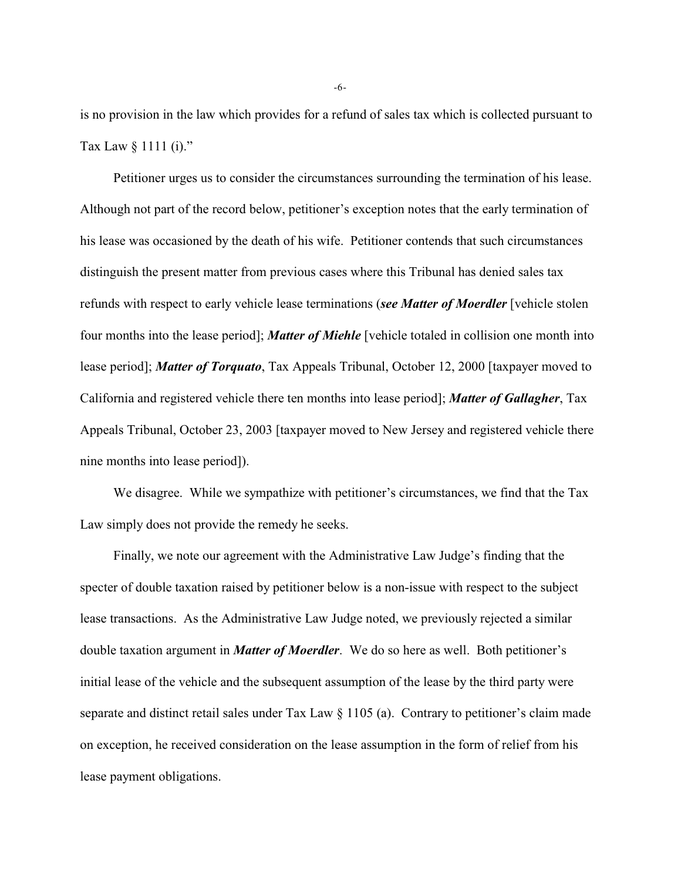is no provision in the law which provides for a refund of sales tax which is collected pursuant to Tax Law § 1111 (i)."

Petitioner urges us to consider the circumstances surrounding the termination of his lease. Although not part of the record below, petitioner's exception notes that the early termination of his lease was occasioned by the death of his wife. Petitioner contends that such circumstances distinguish the present matter from previous cases where this Tribunal has denied sales tax refunds with respect to early vehicle lease terminations (*see Matter of Moerdler* [vehicle stolen four months into the lease period]; *Matter of Miehle* [vehicle totaled in collision one month into lease period]; *Matter of Torquato*, Tax Appeals Tribunal, October 12, 2000 [taxpayer moved to California and registered vehicle there ten months into lease period]; *Matter of Gallagher*, Tax Appeals Tribunal, October 23, 2003 [taxpayer moved to New Jersey and registered vehicle there nine months into lease period]).

We disagree. While we sympathize with petitioner's circumstances, we find that the Tax Law simply does not provide the remedy he seeks.

Finally, we note our agreement with the Administrative Law Judge's finding that the specter of double taxation raised by petitioner below is a non-issue with respect to the subject lease transactions. As the Administrative Law Judge noted, we previously rejected a similar double taxation argument in *Matter of Moerdler*. We do so here as well. Both petitioner's initial lease of the vehicle and the subsequent assumption of the lease by the third party were separate and distinct retail sales under Tax Law § 1105 (a). Contrary to petitioner's claim made on exception, he received consideration on the lease assumption in the form of relief from his lease payment obligations.

-6-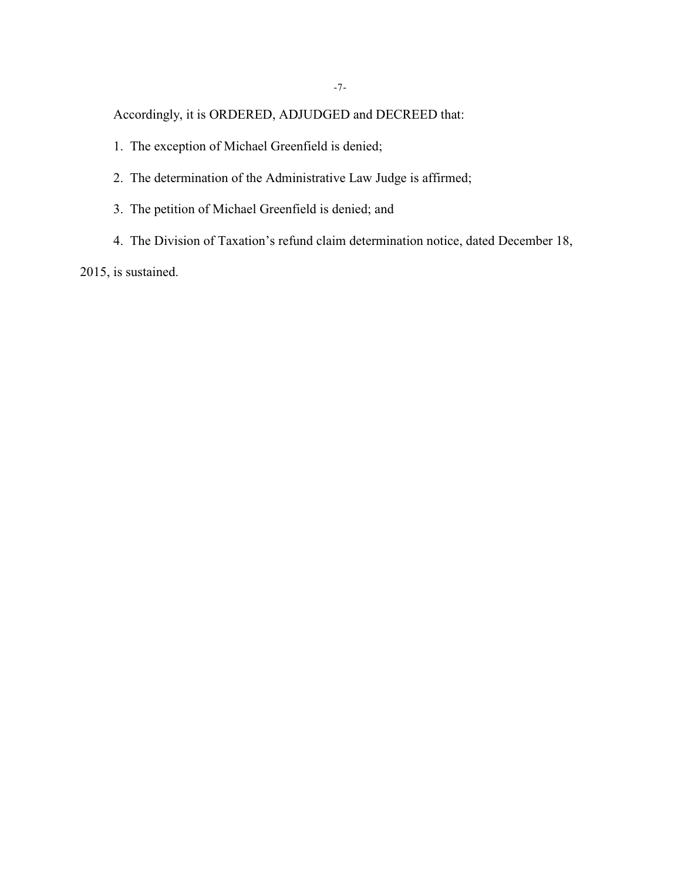Accordingly, it is ORDERED, ADJUDGED and DECREED that:

- 1. The exception of Michael Greenfield is denied;
- 2. The determination of the Administrative Law Judge is affirmed;
- 3. The petition of Michael Greenfield is denied; and
- 4. The Division of Taxation's refund claim determination notice, dated December 18,

2015, is sustained.